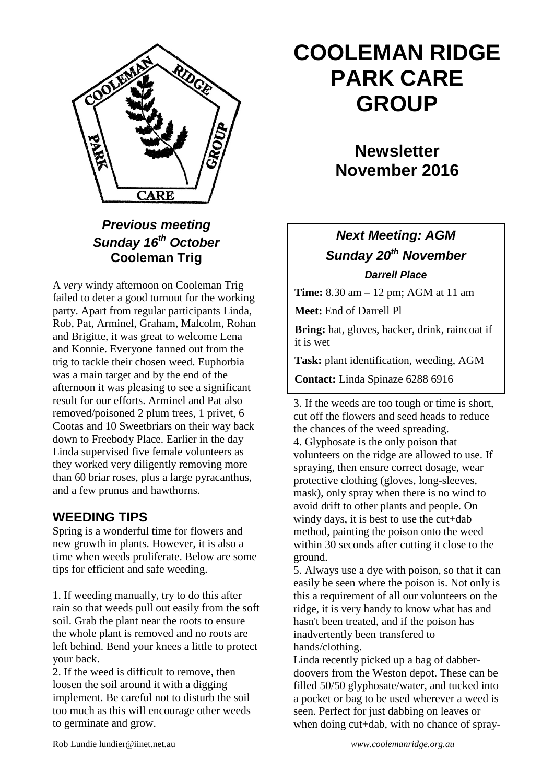

### *Previous meeting Sunday 16th October* **Cooleman Trig**

A *very* windy afternoon on Cooleman Trig failed to deter a good turnout for the working party. Apart from regular participants Linda, Rob, Pat, Arminel, Graham, Malcolm, Rohan and Brigitte, it was great to welcome Lena and Konnie. Everyone fanned out from the trig to tackle their chosen weed. Euphorbia was a main target and by the end of the afternoon it was pleasing to see a significant result for our efforts. Arminel and Pat also removed/poisoned 2 plum trees, 1 privet, 6 Cootas and 10 Sweetbriars on their way back down to Freebody Place. Earlier in the day Linda supervised five female volunteers as they worked very diligently removing more than 60 briar roses, plus a large pyracanthus, and a few prunus and hawthorns.

### **WEEDING TIPS**

Spring is a wonderful time for flowers and new growth in plants. However, it is also a time when weeds proliferate. Below are some tips for efficient and safe weeding.

1. If weeding manually, try to do this after rain so that weeds pull out easily from the soft soil. Grab the plant near the roots to ensure the whole plant is removed and no roots are left behind. Bend your knees a little to protect your back.

2. If the weed is difficult to remove, then loosen the soil around it with a digging implement. Be careful not to disturb the soil too much as this will encourage other weeds to germinate and grow.

# **COOLEMAN RIDGE PARK CARE GROUP**

# **Newsletter November 2016**

## *Next Meeting: AGM Sunday 20th November Darrell Place*

**Time:** 8.30 am – 12 pm; AGM at 11 am

**Meet:** End of Darrell Pl

**Bring:** hat, gloves, hacker, drink, raincoat if it is wet

**Task:** plant identification, weeding, AGM

**Contact:** Linda Spinaze 6288 6916

3. If the weeds are too tough or time is short, cut off the flowers and seed heads to reduce the chances of the weed spreading. 4. Glyphosate is the only poison that volunteers on the ridge are allowed to use. If spraying, then ensure correct dosage, wear protective clothing (gloves, long-sleeves, mask), only spray when there is no wind to avoid drift to other plants and people. On windy days, it is best to use the cut+dab method, painting the poison onto the weed within 30 seconds after cutting it close to the ground.

5. Always use a dye with poison, so that it can easily be seen where the poison is. Not only is this a requirement of all our volunteers on the ridge, it is very handy to know what has and hasn't been treated, and if the poison has inadvertently been transfered to hands/clothing.

Linda recently picked up a bag of dabberdoovers from the Weston depot. These can be filled 50/50 glyphosate/water, and tucked into a pocket or bag to be used wherever a weed is seen. Perfect for just dabbing on leaves or when doing cut+dab, with no chance of spray